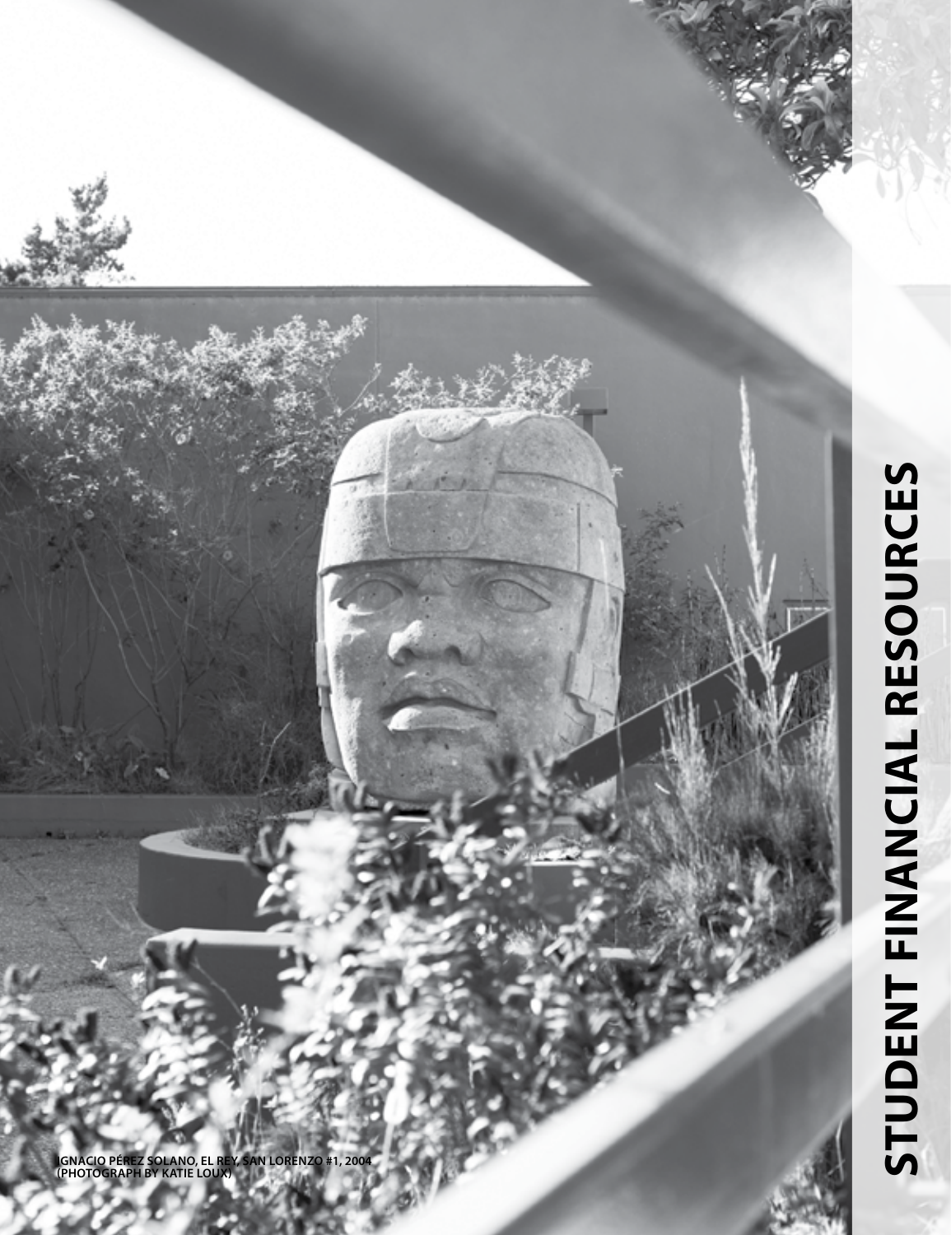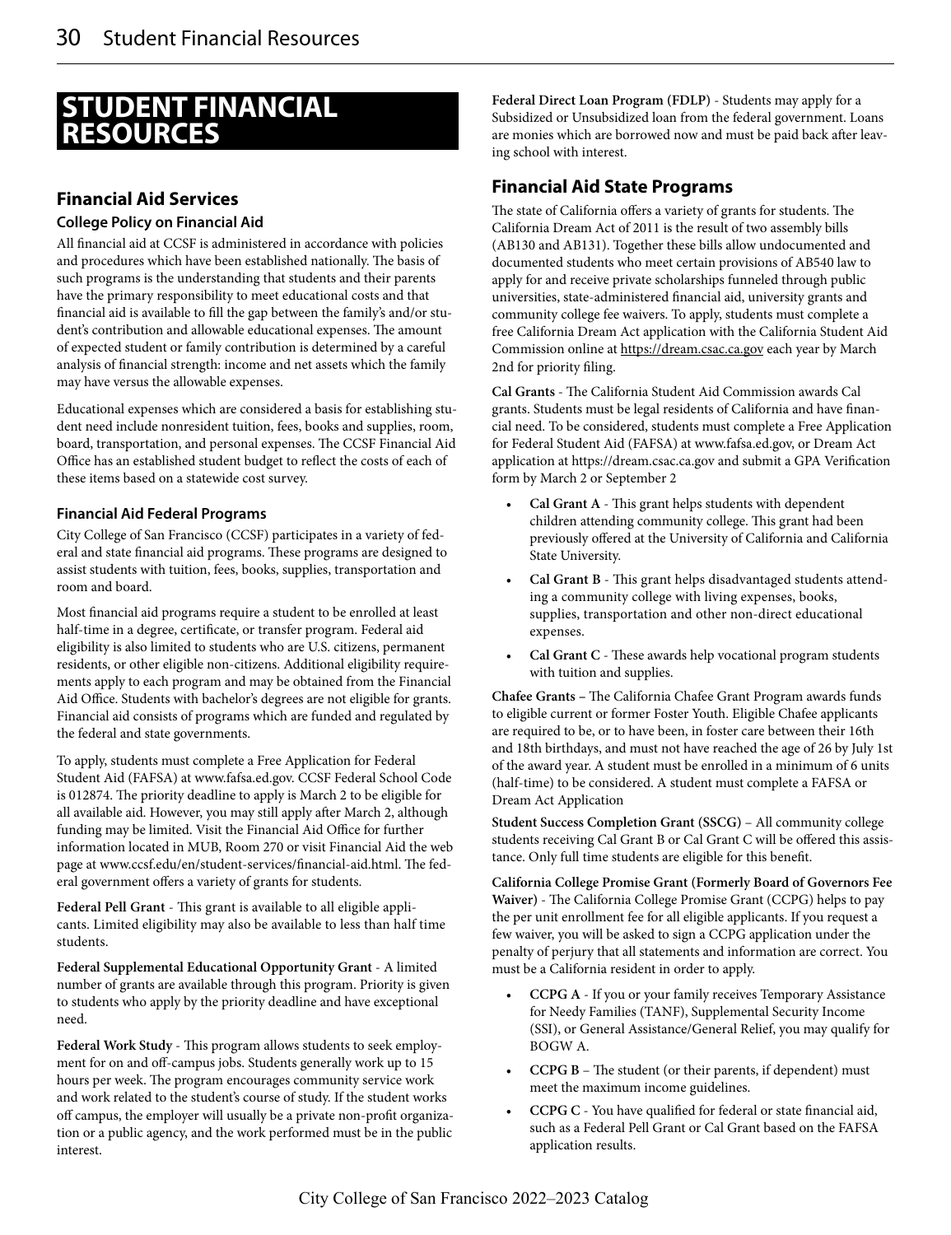# **STUDENT FINANCIAL RESOURCES**

# **Financial Aid Services**

#### **College Policy on Financial Aid**

All financial aid at CCSF is administered in accordance with policies and procedures which have been established nationally. The basis of such programs is the understanding that students and their parents have the primary responsibility to meet educational costs and that financial aid is available to fill the gap between the family's and/or student's contribution and allowable educational expenses. The amount of expected student or family contribution is determined by a careful analysis of financial strength: income and net assets which the family may have versus the allowable expenses.

Educational expenses which are considered a basis for establishing student need include nonresident tuition, fees, books and supplies, room, board, transportation, and personal expenses. The CCSF Financial Aid Office has an established student budget to reflect the costs of each of these items based on a statewide cost survey.

#### **Financial Aid Federal Programs**

City College of San Francisco (CCSF) participates in a variety of federal and state financial aid programs. These programs are designed to assist students with tuition, fees, books, supplies, transportation and room and board.

Most financial aid programs require a student to be enrolled at least half-time in a degree, certificate, or transfer program. Federal aid eligibility is also limited to students who are U.S. citizens, permanent residents, or other eligible non-citizens. Additional eligibility requirements apply to each program and may be obtained from the Financial Aid Office. Students with bachelor's degrees are not eligible for grants. Financial aid consists of programs which are funded and regulated by the federal and state governments.

To apply, students must complete a Free Application for Federal Student Aid (FAFSA) at www.fafsa.ed.gov. CCSF Federal School Code is 012874. The priority deadline to apply is March 2 to be eligible for all available aid. However, you may still apply after March 2, although funding may be limited. Visit the Financial Aid Office for further information located in MUB, Room 270 or visit Financial Aid the web page at www.ccsf.edu/en/student-services/financial-aid.html. The federal government offers a variety of grants for students.

**Federal Pell Grant** - This grant is available to all eligible applicants. Limited eligibility may also be available to less than half time students.

**Federal Supplemental Educational Opportunity Grant** - A limited number of grants are available through this program. Priority is given to students who apply by the priority deadline and have exceptional need.

**Federal Work Study** - This program allows students to seek employment for on and off-campus jobs. Students generally work up to 15 hours per week. The program encourages community service work and work related to the student's course of study. If the student works off campus, the employer will usually be a private non-profit organization or a public agency, and the work performed must be in the public interest.

**Federal Direct Loan Program (FDLP)** - Students may apply for a Subsidized or Unsubsidized loan from the federal government. Loans are monies which are borrowed now and must be paid back after leaving school with interest.

### **Financial Aid State Programs**

The state of California offers a variety of grants for students. The California Dream Act of 2011 is the result of two assembly bills (AB130 and AB131). Together these bills allow undocumented and documented students who meet certain provisions of AB540 law to apply for and receive private scholarships funneled through public universities, state-administered financial aid, university grants and community college fee waivers. To apply, students must complete a free California Dream Act application with the California Student Aid Commission online at https://dream.csac.ca.gov each year by March 2nd for priority filing.

**Cal Grants** - The California Student Aid Commission awards Cal grants. Students must be legal residents of California and have financial need. To be considered, students must complete a Free Application for Federal Student Aid (FAFSA) at www.fafsa.ed.gov, or Dream Act application at https://dream.csac.ca.gov and submit a GPA Verification form by March 2 or September 2

- **Cal Grant A** This grant helps students with dependent children attending community college. This grant had been previously offered at the University of California and California State University.
- **Cal Grant B** This grant helps disadvantaged students attending a community college with living expenses, books, supplies, transportation and other non-direct educational expenses.
- **Cal Grant C** These awards help vocational program students with tuition and supplies.

**Chafee Grants –** The California Chafee Grant Program awards funds to eligible current or former Foster Youth. Eligible Chafee applicants are required to be, or to have been, in foster care between their 16th and 18th birthdays, and must not have reached the age of 26 by July 1st of the award year. A student must be enrolled in a minimum of 6 units (half-time) to be considered. A student must complete a FAFSA or Dream Act Application

**Student Success Completion Grant (SSCG)** – All community college students receiving Cal Grant B or Cal Grant C will be offered this assistance. Only full time students are eligible for this benefit.

**California College Promise Grant (Formerly Board of Governors Fee Waiver)** - The California College Promise Grant (CCPG) helps to pay the per unit enrollment fee for all eligible applicants. If you request a few waiver, you will be asked to sign a CCPG application under the penalty of perjury that all statements and information are correct. You must be a California resident in order to apply.

- **CCPG A** If you or your family receives Temporary Assistance for Needy Families (TANF), Supplemental Security Income (SSI), or General Assistance/General Relief, you may qualify for BOGW A.
- **CCPG B** The student (or their parents, if dependent) must meet the maximum income guidelines.
- **CCPG C** You have qualified for federal or state financial aid, such as a Federal Pell Grant or Cal Grant based on the FAFSA application results.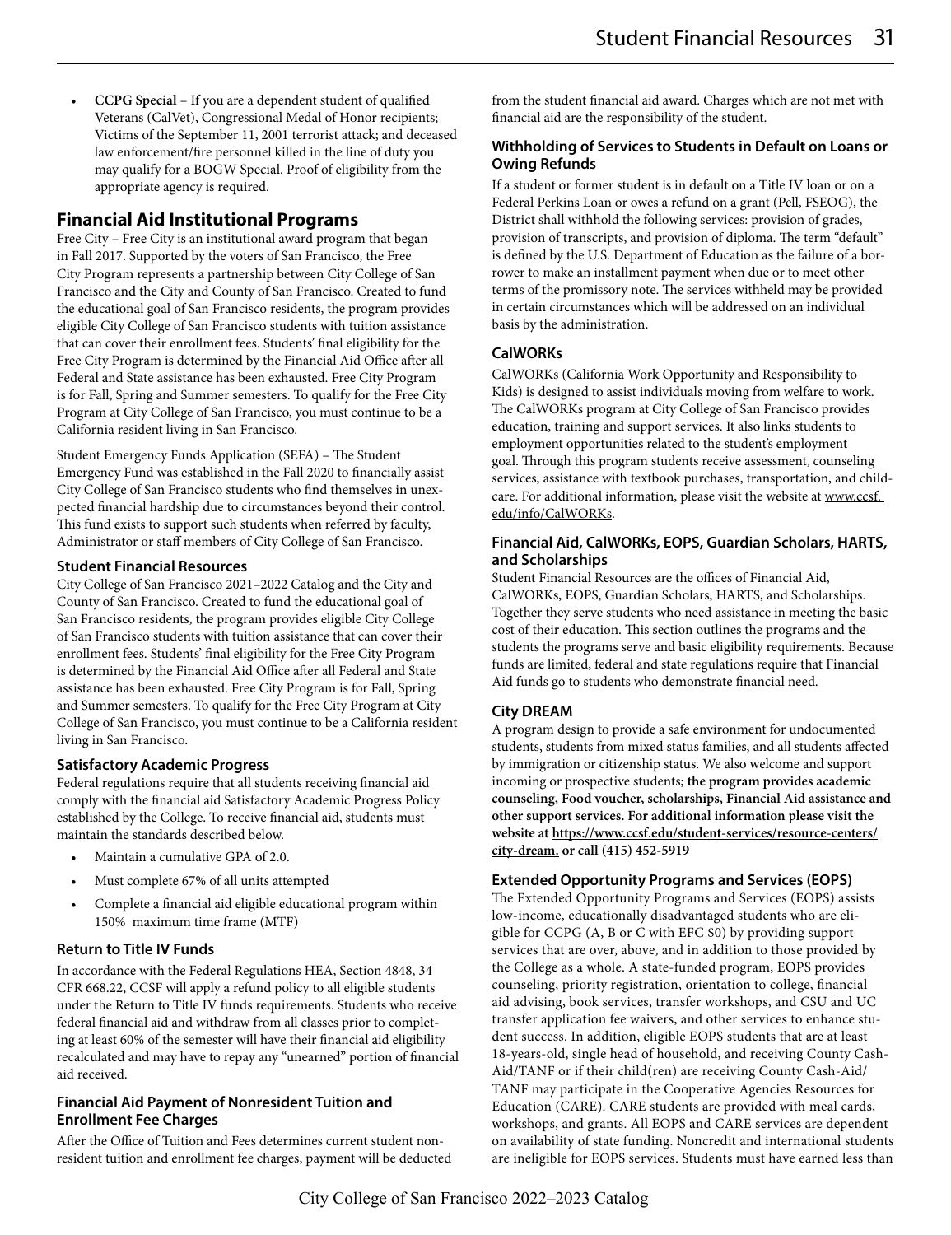• **CCPG Special** – If you are a dependent student of qualified Veterans (CalVet), Congressional Medal of Honor recipients; Victims of the September 11, 2001 terrorist attack; and deceased law enforcement/fire personnel killed in the line of duty you may qualify for a BOGW Special. Proof of eligibility from the appropriate agency is required.

## **Financial Aid Institutional Programs**

Free City – Free City is an institutional award program that began in Fall 2017. Supported by the voters of San Francisco, the Free City Program represents a partnership between City College of San Francisco and the City and County of San Francisco. Created to fund the educational goal of San Francisco residents, the program provides eligible City College of San Francisco students with tuition assistance that can cover their enrollment fees. Students' final eligibility for the Free City Program is determined by the Financial Aid Office after all Federal and State assistance has been exhausted. Free City Program is for Fall, Spring and Summer semesters. To qualify for the Free City Program at City College of San Francisco, you must continue to be a California resident living in San Francisco.

Student Emergency Funds Application (SEFA) – The Student Emergency Fund was established in the Fall 2020 to financially assist City College of San Francisco students who find themselves in unexpected financial hardship due to circumstances beyond their control. This fund exists to support such students when referred by faculty, Administrator or staff members of City College of San Francisco.

#### **Student Financial Resources**

City College of San Francisco 2021–2022 Catalog and the City and County of San Francisco. Created to fund the educational goal of San Francisco residents, the program provides eligible City College of San Francisco students with tuition assistance that can cover their enrollment fees. Students' final eligibility for the Free City Program is determined by the Financial Aid Office after all Federal and State assistance has been exhausted. Free City Program is for Fall, Spring and Summer semesters. To qualify for the Free City Program at City College of San Francisco, you must continue to be a California resident living in San Francisco.

#### **Satisfactory Academic Progress**

Federal regulations require that all students receiving financial aid comply with the financial aid Satisfactory Academic Progress Policy established by the College. To receive financial aid, students must maintain the standards described below.

- Maintain a cumulative GPA of 2.0.
- Must complete 67% of all units attempted
- Complete a financial aid eligible educational program within 150% maximum time frame (MTF)

#### **Return to Title IV Funds**

In accordance with the Federal Regulations HEA, Section 4848, 34 CFR 668.22, CCSF will apply a refund policy to all eligible students under the Return to Title IV funds requirements. Students who receive federal financial aid and withdraw from all classes prior to completing at least 60% of the semester will have their financial aid eligibility recalculated and may have to repay any "unearned" portion of financial aid received.

#### **Financial Aid Payment of Nonresident Tuition and Enrollment Fee Charges**

After the Office of Tuition and Fees determines current student nonresident tuition and enrollment fee charges, payment will be deducted from the student financial aid award. Charges which are not met with financial aid are the responsibility of the student.

#### **Withholding of Services to Students in Default on Loans or Owing Refunds**

If a student or former student is in default on a Title IV loan or on a Federal Perkins Loan or owes a refund on a grant (Pell, FSEOG), the District shall withhold the following services: provision of grades, provision of transcripts, and provision of diploma. The term "default" is defined by the U.S. Department of Education as the failure of a borrower to make an installment payment when due or to meet other terms of the promissory note. The services withheld may be provided in certain circumstances which will be addressed on an individual basis by the administration.

#### **CalWORKs**

CalWORKs (California Work Opportunity and Responsibility to Kids) is designed to assist individuals moving from welfare to work. The CalWORKs program at City College of San Francisco provides education, training and support services. It also links students to employment opportunities related to the student's employment goal. Through this program students receive assessment, counseling services, assistance with textbook purchases, transportation, and childcare. For additional information, please visit the website at www.ccsf. edu/info/CalWORKs.

#### **Financial Aid, CalWORKs, EOPS, Guardian Scholars, HARTS, and Scholarships**

Student Financial Resources are the offices of Financial Aid, CalWORKs, EOPS, Guardian Scholars, HARTS, and Scholarships. Together they serve students who need assistance in meeting the basic cost of their education. This section outlines the programs and the students the programs serve and basic eligibility requirements. Because funds are limited, federal and state regulations require that Financial Aid funds go to students who demonstrate financial need.

#### **City DREAM**

A program design to provide a safe environment for undocumented students, students from mixed status families, and all students affected by immigration or citizenship status. We also welcome and support incoming or prospective students; **the program provides academic counseling, Food voucher, scholarships, Financial Aid assistance and other support services. For additional information please visit the website at https://www.ccsf.edu/student-services/resource-centers/ city-dream. or call (415) 452-5919**

#### **Extended Opportunity Programs and Services (EOPS)**

The Extended Opportunity Programs and Services (EOPS) assists low-income, educationally disadvantaged students who are eligible for CCPG (A, B or C with EFC \$0) by providing support services that are over, above, and in addition to those provided by the College as a whole. A state-funded program, EOPS provides counseling, priority registration, orientation to college, financial aid advising, book services, transfer workshops, and CSU and UC transfer application fee waivers, and other services to enhance student success. In addition, eligible EOPS students that are at least 18-years-old, single head of household, and receiving County Cash-Aid/TANF or if their child(ren) are receiving County Cash-Aid/ TANF may participate in the Cooperative Agencies Resources for Education (CARE). CARE students are provided with meal cards, workshops, and grants. All EOPS and CARE services are dependent on availability of state funding. Noncredit and international students are ineligible for EOPS services. Students must have earned less than